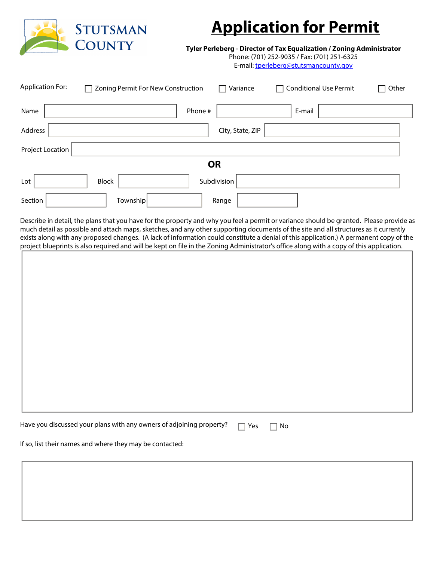

## **Application for Permit**

**Tyler Perleberg - Director of Tax Equalization / Zoning Administrator**

Phone: (701) 252-9035 / Fax: (701) 251-6325 E-mail: tperleberg@stutsmancounty.gov

| <b>Application For:</b> | Zoning Permit For New Construction |           | Variance         | <b>Conditional Use Permit</b> | Other |
|-------------------------|------------------------------------|-----------|------------------|-------------------------------|-------|
| Name                    |                                    | Phone #   |                  | E-mail                        |       |
| Address                 |                                    |           | City, State, ZIP |                               |       |
| Project Location        |                                    |           |                  |                               |       |
|                         |                                    | <b>OR</b> |                  |                               |       |
| Lot                     | <b>Block</b>                       |           | Subdivision      |                               |       |
| Section                 | Township                           |           | Range            |                               |       |

Describe in detail, the plans that you have for the property and why you feel a permit or variance should be granted. Please provide as much detail as possible and attach maps, sketches, and any other supporting documents of the site and all structures as it currently exists along with any proposed changes. (A lack of information could constitute a denial of this application.) A permanent copy of the project blueprints is also required and will be kept on file in the Zoning Administrator's office along with a copy of this application.

| project pracprints is also required and million neptron me in the Eorinig nummistrator's once along million eopy or this application. |  |
|---------------------------------------------------------------------------------------------------------------------------------------|--|
|                                                                                                                                       |  |
|                                                                                                                                       |  |
|                                                                                                                                       |  |
|                                                                                                                                       |  |
|                                                                                                                                       |  |
|                                                                                                                                       |  |
|                                                                                                                                       |  |
|                                                                                                                                       |  |
|                                                                                                                                       |  |
|                                                                                                                                       |  |
|                                                                                                                                       |  |
|                                                                                                                                       |  |
|                                                                                                                                       |  |
|                                                                                                                                       |  |
|                                                                                                                                       |  |
|                                                                                                                                       |  |
|                                                                                                                                       |  |
|                                                                                                                                       |  |
|                                                                                                                                       |  |
|                                                                                                                                       |  |
|                                                                                                                                       |  |
|                                                                                                                                       |  |
|                                                                                                                                       |  |
|                                                                                                                                       |  |
|                                                                                                                                       |  |
|                                                                                                                                       |  |
|                                                                                                                                       |  |
|                                                                                                                                       |  |
|                                                                                                                                       |  |
|                                                                                                                                       |  |
|                                                                                                                                       |  |
|                                                                                                                                       |  |
|                                                                                                                                       |  |
|                                                                                                                                       |  |
|                                                                                                                                       |  |
|                                                                                                                                       |  |
|                                                                                                                                       |  |
|                                                                                                                                       |  |
|                                                                                                                                       |  |
|                                                                                                                                       |  |
|                                                                                                                                       |  |
|                                                                                                                                       |  |
|                                                                                                                                       |  |
|                                                                                                                                       |  |
|                                                                                                                                       |  |
|                                                                                                                                       |  |
|                                                                                                                                       |  |
|                                                                                                                                       |  |
|                                                                                                                                       |  |
|                                                                                                                                       |  |
| Have you discussed your plans with any owners of adjoining property?<br>Yes<br>No                                                     |  |
|                                                                                                                                       |  |

If so, list their names and where they may be contacted: